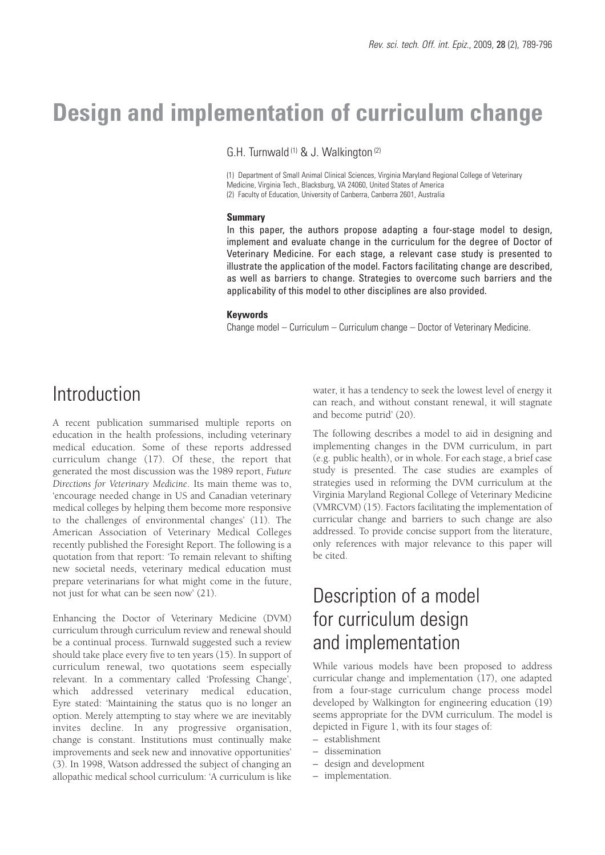# **Design and implementation of curriculum change**

G.H. Turnwald<sup>(1)</sup> & J. Walkington<sup>(2)</sup>

(1) Department of Small Animal Clinical Sciences, Virginia Maryland Regional College of Veterinary Medicine, Virginia Tech., Blacksburg, VA 24060, United States of America (2) Faculty of Education, University of Canberra, Canberra 2601, Australia

#### **Summary**

In this paper, the authors propose adapting a four-stage model to design, implement and evaluate change in the curriculum for the degree of Doctor of Veterinary Medicine. For each stage, a relevant case study is presented to illustrate the application of the model. Factors facilitating change are described, as well as barriers to change. Strategies to overcome such barriers and the applicability of this model to other disciplines are also provided.

#### **Keywords**

Change model – Curriculum – Curriculum change – Doctor of Veterinary Medicine.

# **Introduction**

A recent publication summarised multiple reports on education in the health professions, including veterinary medical education. Some of these reports addressed curriculum change (17). Of these, the report that generated the most discussion was the 1989 report, *Future Directions for Veterinary Medicine*. Its main theme was to, 'encourage needed change in US and Canadian veterinary medical colleges by helping them become more responsive to the challenges of environmental changes' (11). The American Association of Veterinary Medical Colleges recently published the Foresight Report. The following is a quotation from that report: 'To remain relevant to shifting new societal needs, veterinary medical education must prepare veterinarians for what might come in the future, not just for what can be seen now' (21).

Enhancing the Doctor of Veterinary Medicine (DVM) curriculum through curriculum review and renewal should be a continual process. Turnwald suggested such a review should take place every five to ten years (15). In support of curriculum renewal, two quotations seem especially relevant. In a commentary called 'Professing Change', which addressed veterinary medical education, Eyre stated: 'Maintaining the status quo is no longer an option. Merely attempting to stay where we are inevitably invites decline. In any progressive organisation, change is constant. Institutions must continually make improvements and seek new and innovative opportunities' (3). In 1998, Watson addressed the subject of changing an allopathic medical school curriculum: 'A curriculum is like

water, it has a tendency to seek the lowest level of energy it can reach, and without constant renewal, it will stagnate and become putrid' (20).

The following describes a model to aid in designing and implementing changes in the DVM curriculum, in part (e.g. public health), or in whole. For each stage, a brief case study is presented. The case studies are examples of strategies used in reforming the DVM curriculum at the Virginia Maryland Regional College of Veterinary Medicine (VMRCVM) (15). Factors facilitating the implementation of curricular change and barriers to such change are also addressed. To provide concise support from the literature, only references with major relevance to this paper will be cited.

# Description of a model for curriculum design and implementation

While various models have been proposed to address curricular change and implementation (17), one adapted from a four-stage curriculum change process model developed by Walkington for engineering education (19) seems appropriate for the DVM curriculum. The model is depicted in Figure 1, with its four stages of:

- establishment
- dissemination
- design and development
- implementation.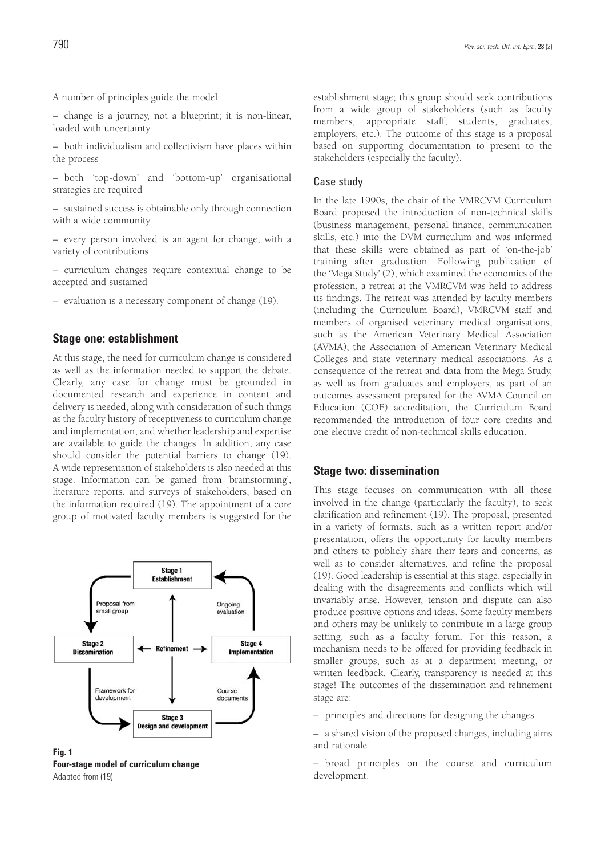A number of principles guide the model:

– change is a journey, not a blueprint; it is non-linear, loaded with uncertainty

– both individualism and collectivism have places within the process

– both 'top-down' and 'bottom-up' organisational strategies are required

– sustained success is obtainable only through connection with a wide community

– every person involved is an agent for change, with a variety of contributions

– curriculum changes require contextual change to be accepted and sustained

– evaluation is a necessary component of change (19).

### **Stage one: establishment**

At this stage, the need for curriculum change is considered as well as the information needed to support the debate. Clearly, any case for change must be grounded in documented research and experience in content and delivery is needed, along with consideration of such things as the faculty history of receptiveness to curriculum change and implementation, and whether leadership and expertise are available to guide the changes. In addition, any case should consider the potential barriers to change (19). A wide representation of stakeholders is also needed at this stage. Information can be gained from 'brainstorming', literature reports, and surveys of stakeholders, based on the information required (19). The appointment of a core group of motivated faculty members is suggested for the



**Fig. 1 Four-stage model of curriculum change** Adapted from (19)

establishment stage; this group should seek contributions from a wide group of stakeholders (such as faculty members, appropriate staff, students, graduates, employers, etc.). The outcome of this stage is a proposal based on supporting documentation to present to the stakeholders (especially the faculty).

#### Case study

In the late 1990s, the chair of the VMRCVM Curriculum Board proposed the introduction of non-technical skills (business management, personal finance, communication skills, etc.) into the DVM curriculum and was informed that these skills were obtained as part of 'on-the-job' training after graduation. Following publication of the 'Mega Study' (2), which examined the economics of the profession, a retreat at the VMRCVM was held to address its findings. The retreat was attended by faculty members (including the Curriculum Board), VMRCVM staff and members of organised veterinary medical organisations, such as the American Veterinary Medical Association (AVMA), the Association of American Veterinary Medical Colleges and state veterinary medical associations. As a consequence of the retreat and data from the Mega Study, as well as from graduates and employers, as part of an outcomes assessment prepared for the AVMA Council on Education (COE) accreditation, the Curriculum Board recommended the introduction of four core credits and one elective credit of non-technical skills education.

#### **Stage two: dissemination**

This stage focuses on communication with all those involved in the change (particularly the faculty), to seek clarification and refinement (19). The proposal, presented in a variety of formats, such as a written report and/or presentation, offers the opportunity for faculty members and others to publicly share their fears and concerns, as well as to consider alternatives, and refine the proposal (19). Good leadership is essential at this stage, especially in dealing with the disagreements and conflicts which will invariably arise. However, tension and dispute can also produce positive options and ideas. Some faculty members and others may be unlikely to contribute in a large group setting, such as a faculty forum. For this reason, a mechanism needs to be offered for providing feedback in smaller groups, such as at a department meeting, or written feedback. Clearly, transparency is needed at this stage! The outcomes of the dissemination and refinement stage are:

– principles and directions for designing the changes

– a shared vision of the proposed changes, including aims and rationale

– broad principles on the course and curriculum development.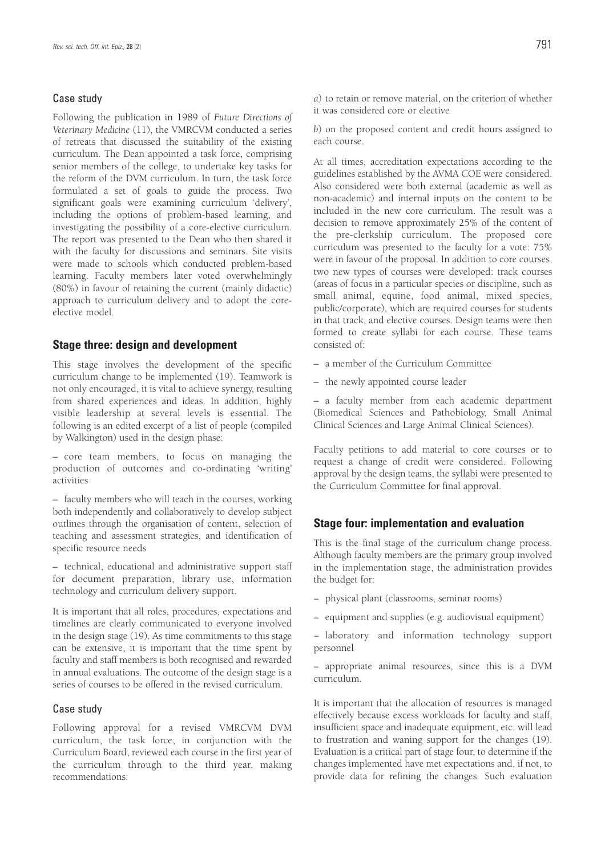#### Case study

Following the publication in 1989 of *Future Directions of Veterinary Medicine* (11), the VMRCVM conducted a series of retreats that discussed the suitability of the existing curriculum. The Dean appointed a task force, comprising senior members of the college, to undertake key tasks for the reform of the DVM curriculum. In turn, the task force formulated a set of goals to guide the process. Two significant goals were examining curriculum 'delivery', including the options of problem-based learning, and investigating the possibility of a core-elective curriculum. The report was presented to the Dean who then shared it with the faculty for discussions and seminars. Site visits were made to schools which conducted problem-based learning. Faculty members later voted overwhelmingly (80%) in favour of retaining the current (mainly didactic) approach to curriculum delivery and to adopt the coreelective model.

### **Stage three: design and development**

This stage involves the development of the specific curriculum change to be implemented (19). Teamwork is not only encouraged, it is vital to achieve synergy, resulting from shared experiences and ideas. In addition, highly visible leadership at several levels is essential. The following is an edited excerpt of a list of people (compiled by Walkington) used in the design phase:

– core team members, to focus on managing the production of outcomes and co-ordinating 'writing' activities

– faculty members who will teach in the courses, working both independently and collaboratively to develop subject outlines through the organisation of content, selection of teaching and assessment strategies, and identification of specific resource needs

– technical, educational and administrative support staff for document preparation, library use, information technology and curriculum delivery support.

It is important that all roles, procedures, expectations and timelines are clearly communicated to everyone involved in the design stage (19). As time commitments to this stage can be extensive, it is important that the time spent by faculty and staff members is both recognised and rewarded in annual evaluations. The outcome of the design stage is a series of courses to be offered in the revised curriculum.

#### Case study

Following approval for a revised VMRCVM DVM curriculum, the task force, in conjunction with the Curriculum Board, reviewed each course in the first year of the curriculum through to the third year, making recommendations:

*a*) to retain or remove material, on the criterion of whether it was considered core or elective

*b*) on the proposed content and credit hours assigned to each course.

At all times, accreditation expectations according to the guidelines established by the AVMA COE were considered. Also considered were both external (academic as well as non-academic) and internal inputs on the content to be included in the new core curriculum. The result was a decision to remove approximately 25% of the content of the pre-clerkship curriculum. The proposed core curriculum was presented to the faculty for a vote: 75% were in favour of the proposal. In addition to core courses, two new types of courses were developed: track courses (areas of focus in a particular species or discipline, such as small animal, equine, food animal, mixed species, public/corporate), which are required courses for students in that track, and elective courses. Design teams were then formed to create syllabi for each course. These teams consisted of:

- a member of the Curriculum Committee
- the newly appointed course leader

– a faculty member from each academic department (Biomedical Sciences and Pathobiology, Small Animal Clinical Sciences and Large Animal Clinical Sciences).

Faculty petitions to add material to core courses or to request a change of credit were considered. Following approval by the design teams, the syllabi were presented to the Curriculum Committee for final approval.

#### **Stage four: implementation and evaluation**

This is the final stage of the curriculum change process. Although faculty members are the primary group involved in the implementation stage, the administration provides the budget for:

- − physical plant (classrooms, seminar rooms)
- − equipment and supplies (e.g. audiovisual equipment)

− laboratory and information technology support personnel

− appropriate animal resources, since this is a DVM curriculum.

It is important that the allocation of resources is managed effectively because excess workloads for faculty and staff, insufficient space and inadequate equipment, etc. will lead to frustration and waning support for the changes (19). Evaluation is a critical part of stage four, to determine if the changes implemented have met expectations and, if not, to provide data for refining the changes. Such evaluation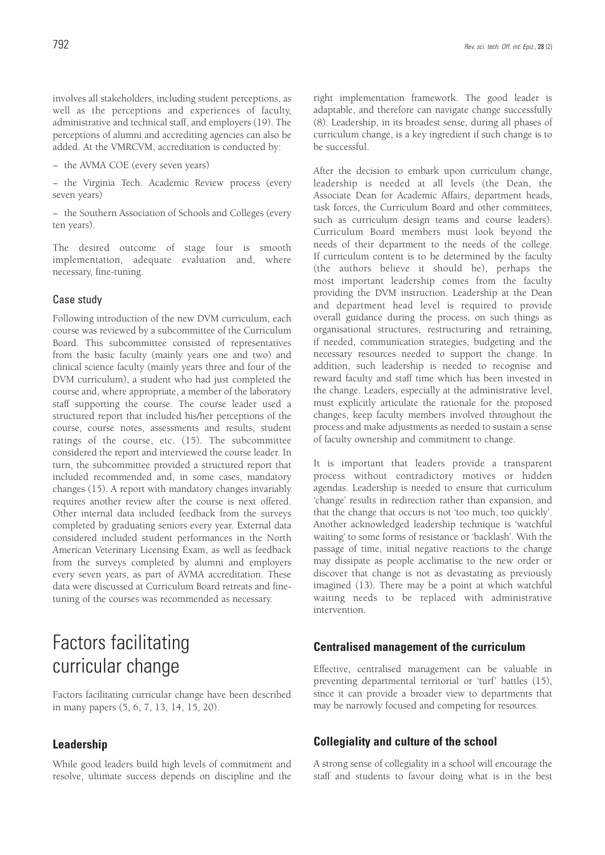involves all stakeholders, including student perceptions, as well as the perceptions and experiences of faculty, administrative and technical staff, and employers (19). The perceptions of alumni and accrediting agencies can also be added. At the VMRCVM, accreditation is conducted by:

− the AVMA COE (every seven years)

− the Virginia Tech. Academic Review process (every seven years)

− the Southern Association of Schools and Colleges (every ten years).

The desired outcome of stage four is smooth implementation, adequate evaluation and, where necessary, fine-tuning.

#### Case study

Following introduction of the new DVM curriculum, each course was reviewed by a subcommittee of the Curriculum Board. This subcommittee consisted of representatives from the basic faculty (mainly years one and two) and clinical science faculty (mainly years three and four of the DVM curriculum), a student who had just completed the course and, where appropriate, a member of the laboratory staff supporting the course. The course leader used a structured report that included his/her perceptions of the course, course notes, assessments and results, student ratings of the course, etc. (15). The subcommittee considered the report and interviewed the course leader. In turn, the subcommittee provided a structured report that included recommended and, in some cases, mandatory changes (15). A report with mandatory changes invariably requires another review after the course is next offered. Other internal data included feedback from the surveys completed by graduating seniors every year. External data considered included student performances in the North American Veterinary Licensing Exam, as well as feedback from the surveys completed by alumni and employers every seven years, as part of AVMA accreditation. These data were discussed at Curriculum Board retreats and finetuning of the courses was recommended as necessary.

# Factors facilitating curricular change

Factors facilitating curricular change have been described in many papers (5, 6, 7, 13, 14, 15, 20).

#### **Leadership**

While good leaders build high levels of commitment and resolve, ultimate success depends on discipline and the right implementation framework. The good leader is adaptable, and therefore can navigate change successfully (8). Leadership, in its broadest sense, during all phases of curriculum change, is a key ingredient if such change is to be successful.

After the decision to embark upon curriculum change, leadership is needed at all levels (the Dean, the Associate Dean for Academic Affairs, department heads, task forces, the Curriculum Board and other committees, such as curriculum design teams and course leaders). Curriculum Board members must look beyond the needs of their department to the needs of the college. If curriculum content is to be determined by the faculty (the authors believe it should be), perhaps the most important leadership comes from the faculty providing the DVM instruction. Leadership at the Dean and department head level is required to provide overall guidance during the process, on such things as organisational structures, restructuring and retraining, if needed, communication strategies, budgeting and the necessary resources needed to support the change. In addition, such leadership is needed to recognise and reward faculty and staff time which has been invested in the change. Leaders, especially at the administrative level, must explicitly articulate the rationale for the proposed changes, keep faculty members involved throughout the process and make adjustments as needed to sustain a sense of faculty ownership and commitment to change.

It is important that leaders provide a transparent process without contradictory motives or hidden agendas. Leadership is needed to ensure that curriculum 'change' results in redirection rather than expansion, and that the change that occurs is not 'too much, too quickly'. Another acknowledged leadership technique is 'watchful waiting' to some forms of resistance or 'backlash'. With the passage of time, initial negative reactions to the change may dissipate as people acclimatise to the new order or discover that change is not as devastating as previously imagined (13). There may be a point at which watchful waiting needs to be replaced with administrative intervention.

#### **Centralised management of the curriculum**

Effective, centralised management can be valuable in preventing departmental territorial or 'turf' battles (15), since it can provide a broader view to departments that may be narrowly focused and competing for resources.

### **Collegiality and culture of the school**

A strong sense of collegiality in a school will encourage the staff and students to favour doing what is in the best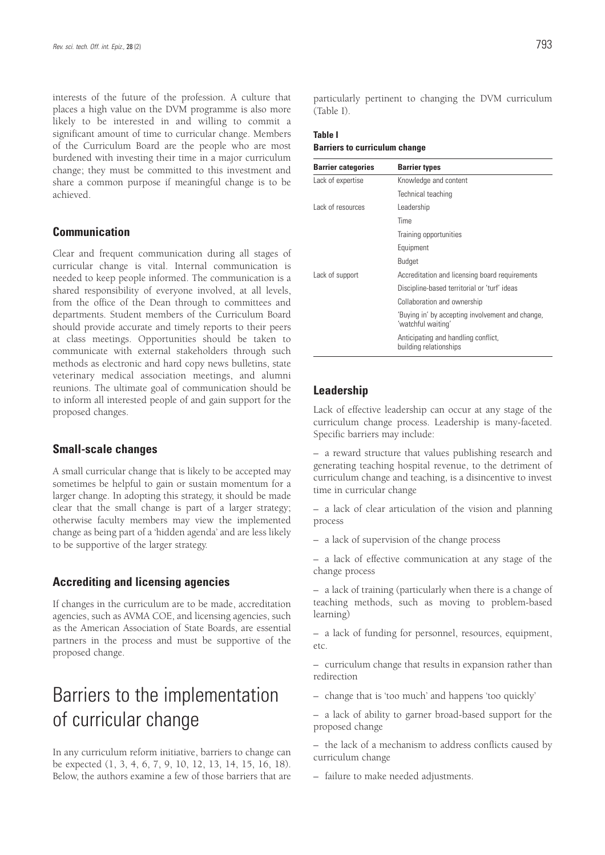interests of the future of the profession. A culture that places a high value on the DVM programme is also more likely to be interested in and willing to commit a significant amount of time to curricular change. Members of the Curriculum Board are the people who are most burdened with investing their time in a major curriculum change; they must be committed to this investment and share a common purpose if meaningful change is to be achieved.

### **Communication**

Clear and frequent communication during all stages of curricular change is vital. Internal communication is needed to keep people informed. The communication is a shared responsibility of everyone involved, at all levels, from the office of the Dean through to committees and departments. Student members of the Curriculum Board should provide accurate and timely reports to their peers at class meetings. Opportunities should be taken to communicate with external stakeholders through such methods as electronic and hard copy news bulletins, state veterinary medical association meetings, and alumni reunions. The ultimate goal of communication should be to inform all interested people of and gain support for the proposed changes.

### **Small-scale changes**

A small curricular change that is likely to be accepted may sometimes be helpful to gain or sustain momentum for a larger change. In adopting this strategy, it should be made clear that the small change is part of a larger strategy; otherwise faculty members may view the implemented change as being part of a 'hidden agenda' and are less likely to be supportive of the larger strategy.

### **Accrediting and licensing agencies**

If changes in the curriculum are to be made, accreditation agencies, such as AVMA COE, and licensing agencies, such as the American Association of State Boards, are essential partners in the process and must be supportive of the proposed change.

# Barriers to the implementation of curricular change

In any curriculum reform initiative, barriers to change can be expected (1, 3, 4, 6, 7, 9, 10, 12, 13, 14, 15, 16, 18). Below, the authors examine a few of those barriers that are particularly pertinent to changing the DVM curriculum (Table I).

## **Table I**

**Barriers to curriculum change**

| <b>Barrier categories</b> | <b>Barrier types</b>                                                   |
|---------------------------|------------------------------------------------------------------------|
| Lack of expertise         | Knowledge and content                                                  |
|                           | Technical teaching                                                     |
| Lack of resources         | Leadership                                                             |
|                           | Time                                                                   |
|                           | Training opportunities                                                 |
|                           | Equipment                                                              |
|                           | Budget                                                                 |
| Lack of support           | Accreditation and licensing board requirements                         |
|                           | Discipline-based territorial or 'turf' ideas                           |
|                           | Collaboration and ownership                                            |
|                           | 'Buying in' by accepting involvement and change,<br>'watchful waiting' |
|                           | Anticipating and handling conflict,<br>building relationships          |

### **Leadership**

Lack of effective leadership can occur at any stage of the curriculum change process. Leadership is many-faceted. Specific barriers may include:

– a reward structure that values publishing research and generating teaching hospital revenue, to the detriment of curriculum change and teaching, is a disincentive to invest time in curricular change

– a lack of clear articulation of the vision and planning process

– a lack of supervision of the change process

– a lack of effective communication at any stage of the change process

– a lack of training (particularly when there is a change of teaching methods, such as moving to problem-based learning)

– a lack of funding for personnel, resources, equipment, etc.

– curriculum change that results in expansion rather than redirection

– change that is 'too much' and happens 'too quickly'

– a lack of ability to garner broad-based support for the proposed change

– the lack of a mechanism to address conflicts caused by curriculum change

– failure to make needed adjustments.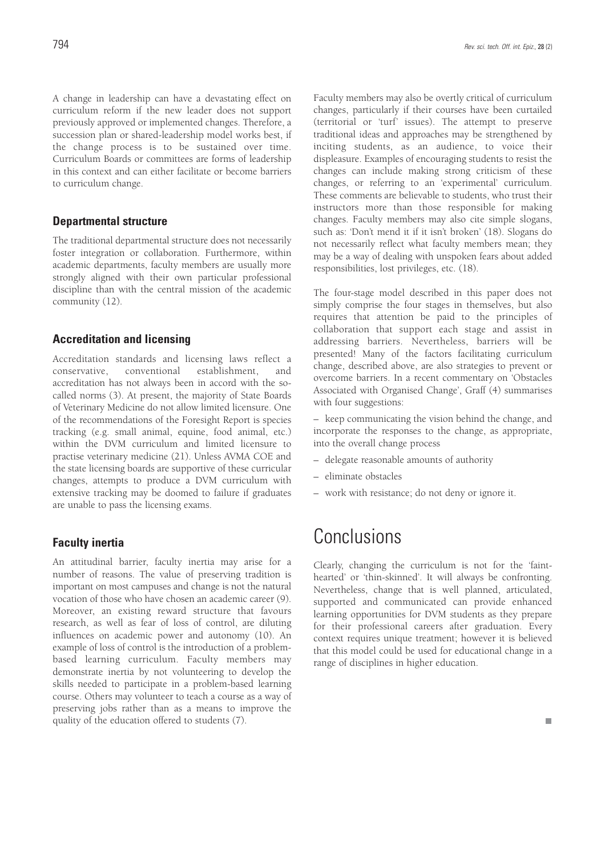A change in leadership can have a devastating effect on curriculum reform if the new leader does not support previously approved or implemented changes. Therefore, a succession plan or shared-leadership model works best, if the change process is to be sustained over time. Curriculum Boards or committees are forms of leadership in this context and can either facilitate or become barriers to curriculum change.

## **Departmental structure**

The traditional departmental structure does not necessarily foster integration or collaboration. Furthermore, within academic departments, faculty members are usually more strongly aligned with their own particular professional discipline than with the central mission of the academic community (12).

## **Accreditation and licensing**

Accreditation standards and licensing laws reflect a conservative, conventional establishment, and accreditation has not always been in accord with the socalled norms (3). At present, the majority of State Boards of Veterinary Medicine do not allow limited licensure. One of the recommendations of the Foresight Report is species tracking (e.g. small animal, equine, food animal, etc.) within the DVM curriculum and limited licensure to practise veterinary medicine (21). Unless AVMA COE and the state licensing boards are supportive of these curricular changes, attempts to produce a DVM curriculum with extensive tracking may be doomed to failure if graduates are unable to pass the licensing exams.

## **Faculty inertia**

An attitudinal barrier, faculty inertia may arise for a number of reasons. The value of preserving tradition is important on most campuses and change is not the natural vocation of those who have chosen an academic career (9). Moreover, an existing reward structure that favours research, as well as fear of loss of control, are diluting influences on academic power and autonomy (10). An example of loss of control is the introduction of a problembased learning curriculum. Faculty members may demonstrate inertia by not volunteering to develop the skills needed to participate in a problem-based learning course. Others may volunteer to teach a course as a way of preserving jobs rather than as a means to improve the quality of the education offered to students (7).

Faculty members may also be overtly critical of curriculum changes, particularly if their courses have been curtailed (territorial or 'turf' issues). The attempt to preserve traditional ideas and approaches may be strengthened by inciting students, as an audience, to voice their displeasure. Examples of encouraging students to resist the changes can include making strong criticism of these changes, or referring to an 'experimental' curriculum. These comments are believable to students, who trust their instructors more than those responsible for making changes. Faculty members may also cite simple slogans, such as: 'Don't mend it if it isn't broken' (18). Slogans do not necessarily reflect what faculty members mean; they may be a way of dealing with unspoken fears about added responsibilities, lost privileges, etc. (18).

The four-stage model described in this paper does not simply comprise the four stages in themselves, but also requires that attention be paid to the principles of collaboration that support each stage and assist in addressing barriers. Nevertheless, barriers will be presented! Many of the factors facilitating curriculum change, described above, are also strategies to prevent or overcome barriers. In a recent commentary on 'Obstacles Associated with Organised Change', Graff (4) summarises with four suggestions:

– keep communicating the vision behind the change, and incorporate the responses to the change, as appropriate, into the overall change process

- delegate reasonable amounts of authority
- eliminate obstacles
- work with resistance; do not deny or ignore it.

# **Conclusions**

Clearly, changing the curriculum is not for the 'fainthearted' or 'thin-skinned'. It will always be confronting. Nevertheless, change that is well planned, articulated, supported and communicated can provide enhanced learning opportunities for DVM students as they prepare for their professional careers after graduation. Every context requires unique treatment; however it is believed that this model could be used for educational change in a range of disciplines in higher education.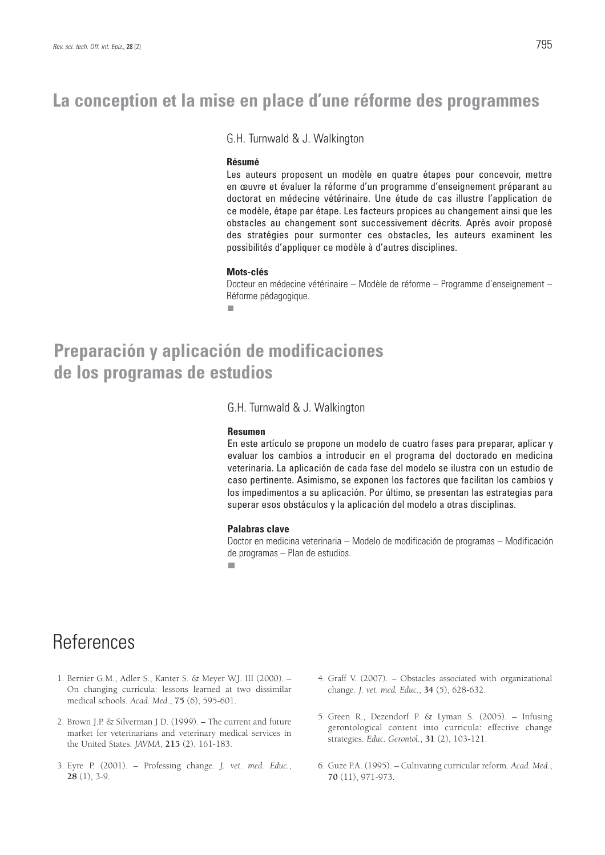# **La conception et la mise en place d'une réforme des programmes**

G.H. Turnwald & J. Walkington

#### **Résumé**

Les auteurs proposent un modèle en quatre étapes pour concevoir, mettre en œuvre et évaluer la réforme d'un programme d'enseignement préparant au doctorat en médecine vétérinaire. Une étude de cas illustre l'application de ce modèle, étape par étape. Les facteurs propices au changement ainsi que les obstacles au changement sont successivement décrits. Après avoir proposé des stratégies pour surmonter ces obstacles, les auteurs examinent les possibilités d'appliquer ce modèle à d'autres disciplines.

#### **Mots-clés**

Docteur en médecine vétérinaire – Modèle de réforme – Programme d'enseignement – Réforme pédagogique.

# **Preparación y aplicación de modificaciones de los programas de estudios**

G.H. Turnwald & J. Walkington

#### **Resumen**

En este artículo se propone un modelo de cuatro fases para preparar, aplicar y evaluar los cambios a introducir en el programa del doctorado en medicina veterinaria. La aplicación de cada fase del modelo se ilustra con un estudio de caso pertinente. Asimismo, se exponen los factores que facilitan los cambios y los impedimentos a su aplicación. Por último, se presentan las estrategias para superar esos obstáculos y la aplicación del modelo a otras disciplinas.

#### **Palabras clave**

Doctor en medicina veterinaria – Modelo de modificación de programas – Modificación de programas – Plan de estudios.

 $\overline{\phantom{a}}$ 

# References

- 1. Bernier G.M., Adler S., Kanter S. & Meyer W.J. III (2000). On changing curricula: lessons learned at two dissimilar medical schools. *Acad. Med.*, **75** (6), 595-601.
- 2. Brown J.P. & Silverman J.D. (1999). The current and future market for veterinarians and veterinary medical services in the United States. *JAVMA*, **215** (2), 161-183.
- 3. Eyre P. (2001). Professing change. *J. vet. med. Educ.*, **28** (1), 3-9.
- 4. Graff V. (2007). Obstacles associated with organizational change. *J. vet. med. Educ.*, **34** (5), 628-632.
- 5. Green R., Dezendorf P. & Lyman S. (2005). Infusing gerontological content into curricula: effective change strategies. *Educ. Gerontol.*, **31** (2), 103-121.
- 6. Guze P.A. (1995). Cultivating curricular reform. *Acad. Med.*, **70** (11), 971-973.